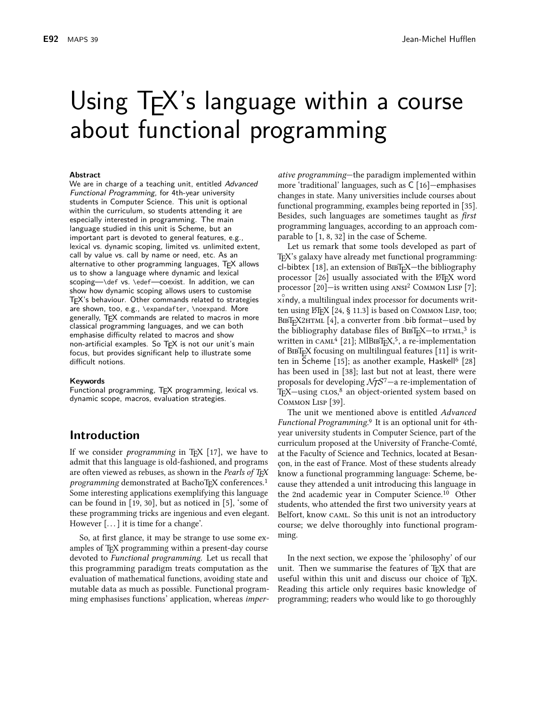# Using T<sub>F</sub>X's language within a course about functional programming

#### **Abstract**

We are in charge of a teaching unit, entitled Advanced Functional Programming, for 4th-year university students in Computer Science. This unit is optional within the curriculum, so students attending it are especially interested in programming. The main language studied in this unit is Scheme, but an important part is devoted to general features, e.g., lexical vs. dynamic scoping, limited vs. unlimited extent, call by value vs. call by name or need, etc. As an alternative to other programming languages, TEX allows us to show a language where dynamic and lexical scoping—\def vs. \edef—coexist. In addition, we can show how dynamic scoping allows users to customise T<sub>F</sub>X's behaviour. Other commands related to strategies are shown, too, e.g., \expandafter, \noexpand. More generally, TFX commands are related to macros in more classical programming languages, and we can both emphasise difficulty related to macros and show non-artificial examples. So TEX is not our unit's main focus, but provides significant help to illustrate some difficult notions.

#### Keywords

Functional programming, T<sub>F</sub>X programming, lexical vs. dynamic scope, macros, evaluation strategies.

#### **Introduction**

If we consider *programming* in T<sub>F</sub>X  $[17]$ , we have to admit that this language is old-fashioned, and programs are often viewed as rebuses, as shown in the Pearls of TFX *programming* demonstrated at BachoTFX conferences.<sup>1</sup> Some interesting applications exemplifying this language can be found in  $[19, 30]$ , but as noticed in  $[5]$ , some of these programming tricks are ingenious and even elegant. However  $[...]$  it is time for a change'.

So, at first glance, it may be strange to use some examples of T<sub>F</sub>X programming within a present-day course devoted to Functional programming. Let us recall that this programming paradigm treats computation as the evaluation of mathematical functions, avoiding state and mutable data as much as possible. Functional programming emphasises functions' application, whereas *imper*-

ative programming-the paradigm implemented within more 'traditional' languages, such as  $C$  [16]-emphasises changes in state. Many universities include courses about functional programming, examples being reported in [35]. Besides, such languages are sometimes taught as *first* programming languages, according to an approach comparable to  $[1, 8, 32]$  in the case of Scheme.

Let us remark that some tools developed as part of T<sub>F</sub>X's galaxy have already met functional programming: cl-bibtex  $[18]$ , an extension of BIBT<sub>E</sub>X—the bibliography processor [26] usually associated with the LIFX word processor [20]—is written using ANSI<sup>2</sup> COMMON LISP [7]; xindy, a multilingual index processor for documents written using LHFX [24, § 11.3] is based on Соммом LISP, too; ВівТ<sub>Е</sub>Х2нтмі [4], a converter from .bib format-used by the bibliography database files of  $BIBT<sub>F</sub>X$ —to  $HTML<sup>3</sup>$  is written in  $CAML^4$  [21]; MlBIBT<sub>E</sub>X,<sup>5</sup>, a re-implementation of BIBT<sub>E</sub>X focusing on multilingual features [11] is written in Scheme [15]; as another example, Haskell<sup>6</sup> [28] has been used in [38]; last but not at least, there were proposals for developing  $\mathcal{N}f\mathcal{S}^7$  – a re-implementation of T<sub>E</sub>X-using cLOS,<sup>8</sup> an object-oriented system based on COMMON LISP [39].

The unit we mentioned above is entitled Advanced Functional Programming.<sup>9</sup> It is an optional unit for 4thyear university students in Computer Science, part of the curriculum proposed at the University of Franche-Comté, at the Faculty of Science and Technics, located at Besancon, in the east of France. Most of these students already know a functional programming language: Scheme, because they attended a unit introducing this language in the 2nd academic year in Computer Science.<sup>10</sup> Other students, who attended the first two university years at Belfort, know CAML. So this unit is not an introductory course; we delve thoroughly into functional programming.

In the next section, we expose the 'philosophy' of our unit. Then we summarise the features of TFX that are useful within this unit and discuss our choice of T<sub>E</sub>X. Reading this article only requires basic knowledge of programming; readers who would like to go thoroughly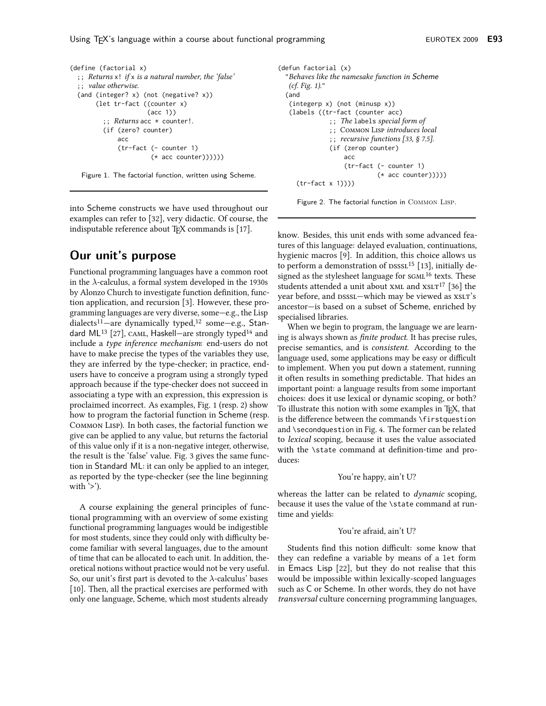Using T<sub>E</sub>X's language within a course about functional programming

```
(define (factorial x)
  \gamma; Returns x! if x is a natural number, the 'false'
  ;; value otherwise.
 (and (integer? x) (not (negative? x))(let tr-fact ((counter x)
                      (acc 1));; Returns acc * counter!.
         (if (zero? counter)
              acc
              (tr-fact (- counter 1)
                        (* acc counter))))))
```


into Scheme constructs we have used throughout our examples can refer to [32], very didactic. Of course, the indisputable reference about TFX commands is [17].

# Our unit's purpose

Functional programming languages have a common root in the  $\lambda$ -calculus, a formal system developed in the 1930s by Alonzo Church to investigate function definition, function application, and recursion [3]. However, these programming languages are very diverse, some-e.g., the Lisp dialects<sup>11</sup>-are dynamically typed,<sup>12</sup> some-e.g., Standard ML<sup>13</sup> [27], CAML, Haskell-are strongly typed<sup>14</sup> and include a type inference mechanism: end-users do not have to make precise the types of the variables they use, they are inferred by the type-checker; in practice, endusers have to conceive a program using a strongly typed approach because if the type-checker does not succeed in associating a type with an expression, this expression is proclaimed incorrect. As examples, Fig. 1 (resp. 2) show how to program the factorial function in Scheme (resp. Соммом Lisp). In both cases, the factorial function we give can be applied to any value, but returns the factorial of this value only if it is a non-negative integer, otherwise, the result is the 'false' value. Fig. 3 gives the same function in Standard ML: it can only be applied to an integer, as reported by the type-checker (see the line beginning with  $\geq$ ).

A course explaining the general principles of functional programming with an overview of some existing functional programming languages would be indigestible for most students, since they could only with difficulty become familiar with several languages, due to the amount of time that can be allocated to each unit. In addition, theoretical notions without practice would not be very useful. So, our unit's first part is devoted to the  $\lambda$ -calculus' bases [10]. Then, all the practical exercises are performed with only one language, Scheme, which most students already

```
(defun factorial (x)
  "Behaves like the namesake function in Scheme
  (cf. Fig. 1)."
  (and
   (integerp x) (not (minus p x))(labels ((tr-fact (counter acc)
               ;; The labels special form of
               ; ; COMMON LISP introduces local
               \gamma; recursive functions [33, § 7.5].
               (if (zerop counter)
                   acc
                   (tr-fact (- counter 1)
                             (* acc counter)))))
     (tr-factor x 1))))
```
Figure 2. The factorial function in COMMON LISP.

know. Besides, this unit ends with some advanced features of this language: delayed evaluation, continuations, hygienic macros [9]. In addition, this choice allows us to perform a demonstration of  $DSSSL<sup>15</sup>$  [13], initially designed as the stylesheet language for sGML<sup>16</sup> texts. These students attended a unit about XML and XSLT<sup>17</sup> [36] the year before, and DSSSL-which may be viewed as XSLT's ancestor-is based on a subset of Scheme, enriched by specialised libraries.

When we begin to program, the language we are learning is always shown as *finite product*. It has precise rules, precise semantics, and is *consistent*. According to the language used, some applications may be easy or difficult to implement. When you put down a statement, running it often results in something predictable. That hides an important point: a language results from some important choices: does it use lexical or dynamic scoping, or both? To illustrate this notion with some examples in T<sub>F</sub>X, that is the difference between the commands \firstquestion and \secondquestion in Fig. 4. The former can be related to lexical scoping, because it uses the value associated with the \state command at definition-time and produces:

#### You're happy, ain't U?

whereas the latter can be related to dynamic scoping, because it uses the value of the \state command at runtime and yields:

#### You're afraid, ain't U?

Students find this notion difficult: some know that they can redefine a variable by means of a let form in Emacs Lisp [22], but they do not realise that this would be impossible within lexically-scoped languages such as C or Scheme. In other words, they do not have *transversal* culture concerning programming languages,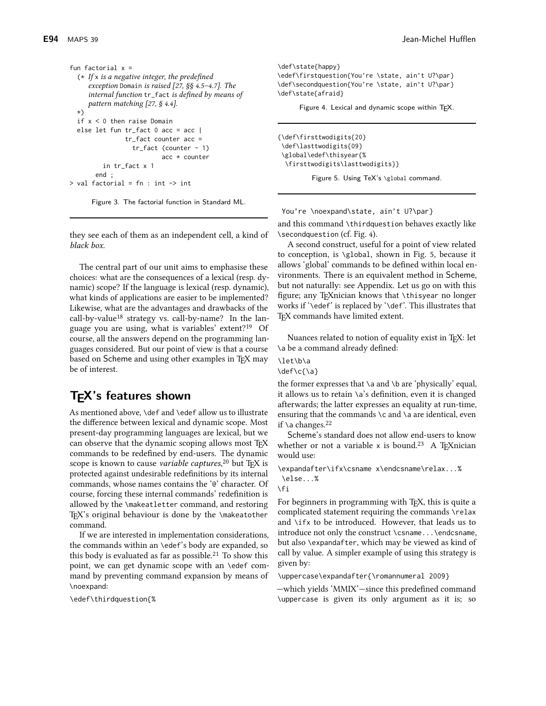```
fun factorial x =(* If x is a negative integer, the predefined
     exception Domain is raised [27, §§ 4.5-4.7]. The
     internal function tr_fact is defined by means of
     pattern matching [27, § 4.4].
  \star)
  if x < 0 then raise Domain
  else let fun tr_fact 0 acc = acc |
                tr_fact counter acc =
                   tr_fact (counter - 1)
                           acc * counter
          in tr_fact x 1end:> val factorial = fn : int \rightarrow int
```
Figure 3. The factorial function in Standard ML.

they see each of them as an independent cell, a kind of black box.

The central part of our unit aims to emphasise these choices: what are the consequences of a lexical (resp. dynamic) scope? If the language is lexical (resp. dynamic), what kinds of applications are easier to be implemented? Likewise, what are the advantages and drawbacks of the call-by-value<sup>18</sup> strategy vs. call-by-name? In the language you are using, what is variables' extent?<sup>19</sup> Of course, all the answers depend on the programming languages considered. But our point of view is that a course based on Scheme and using other examples in TFX may be of interest.

# T<sub>E</sub>X's features shown

As mentioned above, \def and \edef allow us to illustrate the difference between lexical and dynamic scope. Most present-day programming languages are lexical, but we can observe that the dynamic scoping allows most TFX commands to be redefined by end-users. The dynamic scope is known to cause *variable captures*,<sup>20</sup> but T<sub>F</sub>X is protected against undesirable redefinitions by its internal commands, whose names contains the '@' character. Of course, forcing these internal commands' redefinition is allowed by the \makeatletter command, and restoring T<sub>F</sub>X's original behaviour is done by the \makeatother command.

If we are interested in implementation considerations, the commands within an \edef's body are expanded, so this body is evaluated as far as possible.<sup>21</sup> To show this point, we can get dynamic scope with an \edef command by preventing command expansion by means of \noexpand:

\edef\thirdquestion{%

\def\state{happy} \edef\firstquestion{You're \state, ain't U?\par} \def\secondquestion{You're \state, ain't U?\par} \def\state{afraid}

Figure 4. Lexical and dynamic scope within TEX.

{\def\firsttwodigits{20} \def\lasttwodigits{09} \global\edef\thisyear{% \firsttwodigits\lasttwodigits}}

Figure 5. Using TeX's \global command.

You're \noexpand\state, ain't U?\par}

and this command \thirdquestion behaves exactly like \secondquestion (cf. Fig. 4).

A second construct, useful for a point of view related to conception, is \global, shown in Fig. 5, because it allows 'global' commands to be defined within local environments. There is an equivalent method in Scheme, but not naturally: see Appendix. Let us go on with this figure; any T<sub>F</sub>Xnician knows that \thisyear no longer works if '\edef' is replaced by '\def'. This illustrates that TEX commands have limited extent.

Nuances related to notion of equality exist in TFX: let \a be a command already defined:

\let\b\a \def\c{\a}

the former expresses that  $\alpha$  and  $\alpha$  are 'physically' equal, it allows us to retain  $\alpha$ 's definition, even it is changed afterwards; the latter expresses an equality at run-time, ensuring that the commands \c and \a are identical, even if  $\a$  changes.<sup>22</sup>

Scheme's standard does not allow end-users to know whether or not a variable x is bound.<sup>23</sup> A T<sub>F</sub>Xnician would use:

\expandafter\ifx\csname x\endcsname\relax...%  $\ell$ 

\fi

For beginners in programming with T<sub>E</sub>X, this is quite a complicated statement requiring the commands \relax and \ifx to be introduced. However, that leads us to introduce not only the construct \csname...\endcsname, but also \expandafter, which may be viewed as kind of call by value. A simpler example of using this strategy is given by:

\uppercase\expandafter{\romannumeral 2009}

-which yields 'MMIX'-since this predefined command \uppercase is given its only argument as it is; so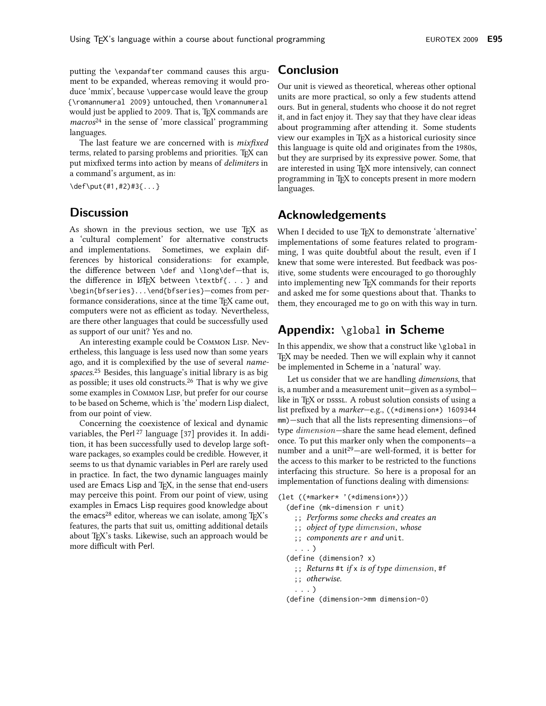putting the \expandafter command causes this argument to be expanded, whereas removing it would produce 'mmix', because \uppercase would leave the group {\romannumeral 2009} untouched, then \romannumeral would just be applied to 2009. That is, TEX commands are  $macros<sup>24</sup>$  in the sense of 'more classical' programming languages.

The last feature we are concerned with is *mixfixed* terms, related to parsing problems and priorities. TEX can put mixfixed terms into action by means of *delimiters* in a command's argument, as in:

 $\def\put(41,42)43$ ...}

#### **Discussion**

As shown in the previous section, we use TFX as a 'cultural complement' for alternative constructs and implementations. Sometimes, we explain differences by historical considerations: for example, the difference between \def and \long\def-that is, the difference in LTFX between \textbf{...} and \begin{bfseries}...\end{bfseries}-comes from performance considerations, since at the time TFX came out, computers were not as efficient as today. Nevertheless, are there other languages that could be successfully used as support of our unit? Yes and no.

An interesting example could be COMMON LISP. Nevertheless, this language is less used now than some years ago, and it is complexified by the use of several *name*spaces.<sup>25</sup> Besides, this language's initial library is as big as possible; it uses old constructs.<sup>26</sup> That is why we give some examples in COMMON LISP, but prefer for our course to be based on Scheme, which is 'the' modern Lisp dialect, from our point of view.

Concerning the coexistence of lexical and dynamic variables, the Perl<sup>27</sup> language [37] provides it. In addition, it has been successfully used to develop large software packages, so examples could be credible. However, it seems to us that dynamic variables in Perl are rarely used in practice. In fact, the two dynamic languages mainly used are Emacs Lisp and TEX, in the sense that end-users may perceive this point. From our point of view, using examples in Emacs Lisp requires good knowledge about the emacs<sup>28</sup> editor, whereas we can isolate, among T<sub>F</sub>X's features, the parts that suit us, omitting additional details about T<sub>F</sub>X's tasks. Likewise, such an approach would be more difficult with Perl.

# **Conclusion**

Our unit is viewed as theoretical, whereas other optional units are more practical, so only a few students attend ours. But in general, students who choose it do not regret it, and in fact enjoy it. They say that they have clear ideas about programming after attending it. Some students view our examples in T<sub>F</sub>X as a historical curiosity since this language is quite old and originates from the 1980s, but they are surprised by its expressive power. Some, that are interested in using T<sub>E</sub>X more intensively, can connect programming in T<sub>F</sub>X to concepts present in more modern languages.

## **Acknowledgements**

When I decided to use TEX to demonstrate 'alternative' implementations of some features related to programming, I was quite doubtful about the result, even if I knew that some were interested. But feedback was positive, some students were encouraged to go thoroughly into implementing new TEX commands for their reports and asked me for some questions about that. Thanks to them, they encouraged me to go on with this way in turn.

## **Appendix:** \global in Scheme

In this appendix, we show that a construct like \global in TEX may be needed. Then we will explain why it cannot be implemented in Scheme in a 'natural' way.

Let us consider that we are handling *dimensions*, that is, a number and a measurement unit—given as a symbol like in T<sub>F</sub>X or DSSSL. A robust solution consists of using a list prefixed by a marker-e.g., ((\*dimension\*) 1609344 mm)—such that all the lists representing dimensions—of type dimension-share the same head element, defined once. To put this marker only when the components-a number and a unit<sup>29</sup>-are well-formed, it is better for the access to this marker to be restricted to the functions interfacing this structure. So here is a proposal for an implementation of functions dealing with dimensions:

(let ((\*marker\* '(\*dimension\*)))

- (define (mk-dimension r unit)
	- ;; Performs some checks and creates an
	- ;; object of type dimension, whose
	- ;; components are r and unit.
	- $\ldots$ )
- (define (dimension? x)
	- ;; Returns #t if x is of type dimension, #f
	- ;; otherwise.
- $\ldots$ )
- (define (dimension->mm dimension-0)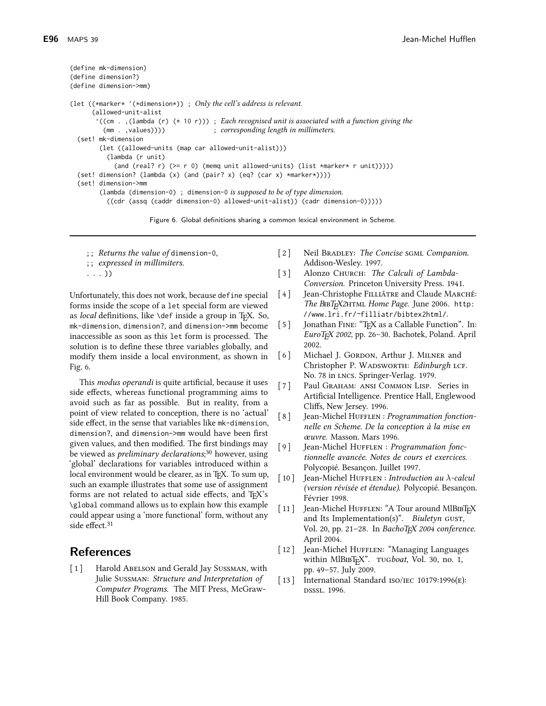```
(define mk-dimension)
(define dimension?)
(define dimension->mm)
(let (\starmarker* '(\stardimension*)); Only the cell's address is relevant.
      (allowed-unit-alist
        ((cm., (lambda (r) (* 10 r))); Each recognised unit is associated with a function giving the
         (mm \t, yalies))); corresponding length in millimeters.
  (set! mk-dimension
        (let ((allowed-units (map car allowed-unit-alist)))
          (lambda (r unit)
            (and (real? r) (>= r 0) (memq unit allowed-units) (list *marker* r unit)))))
  (set! dimension? (lambda (x) (and (pair? x) (eq? (car x) *marker*))))
  (set! dimension->mm
        (lambda (dimension-0) ; dimension-0 is supposed to be of type dimension.
          ((cdr (assq (caddr dimension-0) allowed-unit-alist)) (cadr dimension-0))))
```
Figure 6. Global definitions sharing a common lexical environment in Scheme.

- ;; Returns the value of dimension-0,
- ;; expressed in millimiters.

 $\ldots$ )

Unfortunately, this does not work, because define special forms inside the scope of a let special form are viewed as local definitions, like \def inside a group in TEX. So, mk-dimension, dimension?, and dimension->mm become inaccessible as soon as this let form is processed. The solution is to define these three variables globally, and modify them inside a local environment, as shown in Fig. 6.

This *modus operandi* is quite artificial, because it uses side effects, whereas functional programming aims to avoid such as far as possible. But in reality, from a point of view related to conception, there is no 'actual' side effect, in the sense that variables like mk-dimension, dimension? and dimension->mm would have been first given values, and then modified. The first bindings may be viewed as *preliminary declarations*;<sup>30</sup> however, using 'global' declarations for variables introduced within a local environment would be clearer, as in TFX. To sum up, such an example illustrates that some use of assignment forms are not related to actual side effects, and TFX's \global command allows us to explain how this example could appear using a 'more functional' form, without any side effect.<sup>31</sup>

### **References**

Harold ABELSON and Gerald Jay SUSSMAN, with  $\lceil 1 \rceil$ Julie SUSSMAN: Structure and Interpretation of Computer Programs. The MIT Press, McGraw-Hill Book Company. 1985.

- $\lceil 2 \rceil$ Neil BRADLEY: The Concise SGML Companion. Addison-Wesley. 1997.
- $\lceil 3 \rceil$ Alonzo CHURCH: The Calculi of Lambda-Conversion. Princeton University Press. 1941.
- Jean-Christophe FILLIÂTRE and Claude MARCHÉ:  $[4]$ The BIBT<sub>E</sub>X2HTML Home Page. June 2006. http: //www.lri.fr/~filliatr/bibtex2html/.
- Jonathan FINE: "TFX as a Callable Function". In:  $\lceil 5 \rceil$ EuroTEX 2002, pp. 26-30. Bachotek, Poland. April 2002.
- $[6]$ Michael J. GORDON, Arthur J. MILNER and Christopher P. WADSWORTH: Edinburgh LCF. No. 78 in LNCS. Springer-Verlag. 1979.
- Paul GRAHAM: ANSI COMMON LISP. Series in  $[7]$ Artificial Intelligence. Prentice Hall, Englewood Cliffs, New Jersey. 1996.
- $\lceil 8 \rceil$ Jean-Michel HUFFLEN : Programmation fonctionnelle en Scheme. De la conception à la mise en œuvre. Masson. Mars 1996.
- $\lceil 9 \rceil$ Jean-Michel HUFFLEN : Programmation fonctionnelle avancée. Notes de cours et exercices. Polycopié. Besançon. Juillet 1997.
- $\lceil 10 \rceil$ Jean-Michel HUFFLEN : Introduction au  $\lambda$ -calcul (version révisée et étendue). Polycopié. Besançon. Février 1998.
- Jean-Michel HUFFLEN: "A Tour around MlBIBTEX  $\lceil 11 \rceil$ and Its Implementation(s)". Biuletyn GUST, Vol. 20, pp. 21-28. In BachoTFX 2004 conference. April 2004.
- Jean-Michel HUFFLEN: "Managing Languages  $\left[ \begin{array}{c} 12 \end{array} \right]$ within MlBIBT<sub>E</sub>X". TUGboat, Vol. 30, no. 1, pp. 49-57. July 2009.
- $\lceil 13 \rceil$ International Standard ISO/IEC 10179:1996 $(E)$ : DSSSL, 1996.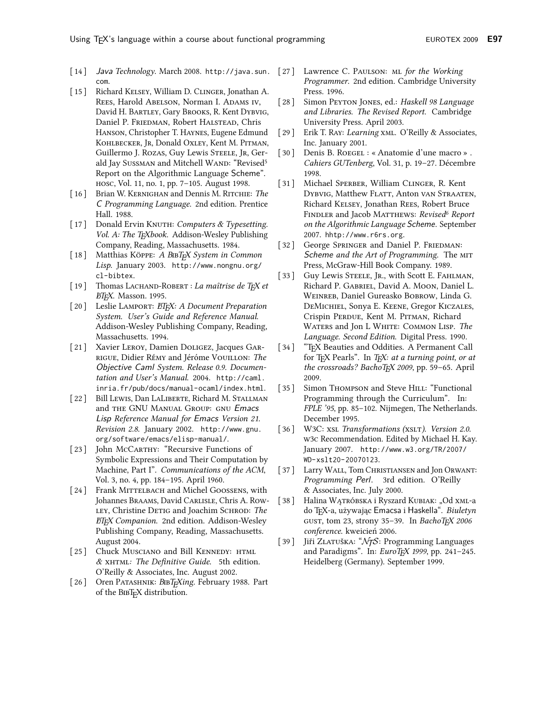- [14] Java Technology. March 2008. http://java.sun. [27] Lawrence C. PAULSON: ML for the Working com.
- $\lceil 15 \rceil$ Richard KELSEY, William D. CLINGER, Jonathan A. REES, Harold ABELSON, Norman I. ADAMS IV, David H. BARTLEY, Gary BROOKS, R. Kent DYBVIG, Daniel P. FRIEDMAN, Robert HALSTEAD, Chris HANSON, Christopher T. HAYNES, Eugene Edmund KOHLBECKER, JR, Donald OXLEY, Kent M. PITMAN, Guillermo J. ROZAS, Guy Lewis STEELE, JR, Gerald Jay SUSSMAN and Mitchell WAND: "Revised<sup>5</sup> Report on the Algorithmic Language Scheme". нозс, Vol. 11, no. 1, pp. 7-105. August 1998.
- [16] Brian W. KERNIGHAN and Dennis M. RITCHIE: The C Programming Language. 2nd edition. Prentice Hall. 1988.
- $\left[ \begin{array}{c} 17 \end{array} \right]$ Donald Ervin KNUTH: Computers & Typesetting. Vol. A: The TEXbook. Addison-Wesley Publishing Company, Reading, Massachusetts. 1984.
- $\left[ \begin{array}{c} 18 \end{array} \right]$ Matthias KÖPPE: A BIBT<sub>E</sub>X System in Common Lisp. January 2003. http://www.nongnu.org/ cl-bibtex.
- [19] Thomas LACHAND-ROBERT : La maîtrise de TFX et ETEX. Masson. 1995.
- [20] Leslie LAMPORT: ETEX: A Document Preparation System. User's Guide and Reference Manual. Addison-Wesley Publishing Company, Reading, Massachusetts. 1994.
- [21] Xavier LEROY, Damien DOLIGEZ, Jacques GAR-RIGUE, Didier RÉMY and Jéróme VOUILLON: The Objective Caml System. Release 0.9. Documentation and User's Manual. 2004. http://caml. inria.fr/pub/docs/manual-ocaml/index.html.
- [22] Bill LEWIS, Dan LALIBERTE, Richard M. STALLMAN and THE GNU MANUAL GROUP: GNU Emacs Lisp Reference Manual for Emacs Version 21. Revision 2.8. January 2002. http://www.gnu. org/software/emacs/elisp-manual/.
- [23] John McCARTHY: "Recursive Functions of Symbolic Expressions and Their Computation by Machine, Part I". Communications of the ACM, Vol. 3, no. 4, pp. 184-195. April 1960.
- [24] Frank MITTELBACH and Michel GOOSSENS, with Johannes BRAAMS, David CARLISLE, Chris A. Row-LEY, Christine DETIG and Joachim SCHROD: The ETFX Companion. 2nd edition. Addison-Wesley Publishing Company, Reading, Massachusetts. August 2004.
- [25] Chuck MUSCIANO and Bill KENNEDY: HTML & XHTML: The Definitive Guide. 5th edition. O'Reilly & Associates, Inc. August 2002.
- Oren PATASHNIK: BIBT<sub>F</sub>Xing. February 1988. Part  $\left[26\right]$ of the BIBT<sub>F</sub>X distribution.
- Programmer. 2nd edition. Cambridge University Press. 1996.
- $\lceil 28 \rceil$ Simon PEYTON JONES, ed.: Haskell 98 Language and Libraries. The Revised Report. Cambridge University Press. April 2003.
- $\lceil 29 \rceil$ Erik T. RAY: Learning XML. O'Reilly & Associates, Inc. January 2001.
- $\begin{bmatrix} 30 \end{bmatrix}$ Denis B. ROEGEL : « Anatomie d'une macro ». Cahiers GUTenberg, Vol. 31, p. 19-27. Décembre 1998.
- $\lceil 31 \rceil$ Michael SPERBER, William CLINGER, R. Kent DYBVIG, Matthew FLATT, Anton VAN STRAATEN, Richard KELSEY, Jonathan REES, Robert Bruce FINDLER and Jacob MATTHEWS: Revised<sup>6</sup> Report on the Algorithmic Language Scheme. September 2007. hhtp://www.r6rs.org.
- $\begin{bmatrix} 32 \end{bmatrix}$ George SPRINGER and Daniel P. FRIEDMAN: Scheme and the Art of Programming. The MIT Press, McGraw-Hill Book Company. 1989.
- $\lceil 33 \rceil$ Guy Lewis STEELE, JR., with Scott E. FAHLMAN, Richard P. GABRIEL, David A. MOON, Daniel L. WEINREB, Daniel Gureasko BOBROW, Linda G. DEMICHIEL, Sonya E. KEENE, Gregor KICZALES, Crispin PERDUE, Kent M. PITMAN, Richard WATERS and Jon L WHITE: COMMON LISP. The Language. Second Edition. Digital Press. 1990.
- "TFX Beauties and Oddities. A Permanent Call  $\lceil 34 \rceil$ for TEX Pearls". In TEX: at a turning point, or at the crossroads? BachoTEX 2009, pp. 59-65. April 2009.
- Simon THOMPSON and Steve HILL: "Functional  $\begin{bmatrix} 35 \end{bmatrix}$ Programming through the Curriculum". In: FPLE '95, pp. 85-102. Nijmegen, The Netherlands. December 1995.
- W3C: XSL Transformations (XSLT). Version 2.0.  $\left[36\right]$ w3c Recommendation. Edited by Michael H. Kay. January 2007. http://www.w3.org/TR/2007/ WD-xslt20-20070123.
- $[37]$ Larry WALL, Tom CHRISTIANSEN and Jon ORWANT: Programming Perl. 3rd edition. O'Reilly & Associates, Inc. July 2000.
- $\begin{bmatrix} 38 \end{bmatrix}$ Halina WĄткóвsка i Ryszard KUBIAK: "Od хмL-а do TFX-a, używając Emacsa i Haskella". Biuletyn GUST, tom 23, strony 35-39. In BachoTEX 2006 conference. kweicień 2006.
- Jiři ZLATUŠKA: "NJS: Programming Languages  $\begin{bmatrix} 39 \end{bmatrix}$ and Paradigms". In: EuroTEX 1999, pp. 241-245. Heidelberg (Germany). September 1999.